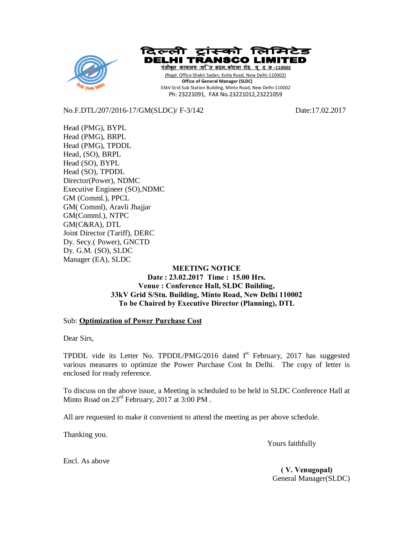



**पंजीकृत काया लय :शि त सदन, कोटला रोड़, यू द ल-110002** (Regd. Office Shakti Sadan, Kotla Road, New Delhi-110002)  **Office of General Manager (SLDC)** 33kV Grid Sub Station Building, Minto Road, New Delhi-110002 Ph: 23221091, FAX No.23221012,23221059

No.F.DTL/207/2016-17/GM(SLDC)/ F-3/142 Date:17.02.2017

Head (PMG), BYPL Head (PMG), BRPL Head (PMG), TPDDL Head, (SO), BRPL Head (SO), BYPL Head (SO), TPDDL Director(Power), NDMC Executive Engineer (SO),NDMC GM (Comml.), PPCL GM( Comml), Aravli Jhajjar GM(Comml.), NTPC GM(C&RA), DTL Joint Director (Tariff), DERC Dy. Secy.( Power), GNCTD Dy. G.M. (SO), SLDC Manager (EA), SLDC

## **MEETING NOTICE Date : 23.02.2017 Time : 15.00 Hrs. Venue : Conference Hall, SLDC Building, 33kV Grid S/Stn. Building, Minto Road, New Delhi 110002 To be Chaired by Executive Director (Planning), DTL**

## Sub: **Optimization of Power Purchase Cost**

Dear Sirs,

TPDDL vide its Letter No. TPDDL/PMG/2016 dated  $I<sup>st</sup>$  February, 2017 has suggested various measures to optimize the Power Purchase Cost In Delhi. The copy of letter is enclosed for ready reference.

To discuss on the above issue, a Meeting is scheduled to be held in SLDC Conference Hall at Minto Road on 23<sup>rd</sup> February, 2017 at 3:00 PM.

All are requested to make it convenient to attend the meeting as per above schedule.

Thanking you.

Yours faithfully

Encl. As above

 **( V. Venugopal)** General Manager(SLDC)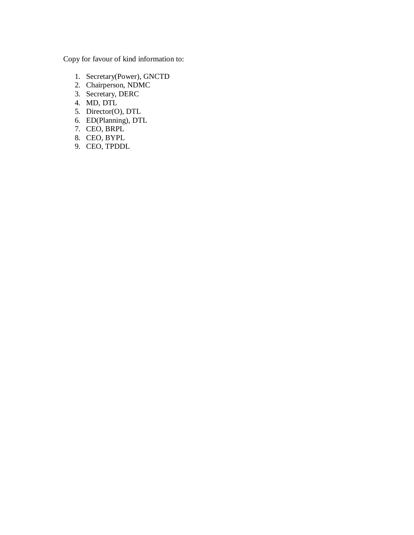Copy for favour of kind information to:

- 1. Secretary(Power), GNCTD
- 2. Chairperson, NDMC
- 3. Secretary, DERC
- 4. MD, DTL
- 5. Director(O), DTL
- 6. ED(Planning), DTL
- 7. CEO, BRPL
- 8. CEO, BYPL
- 9. CEO, TPDDL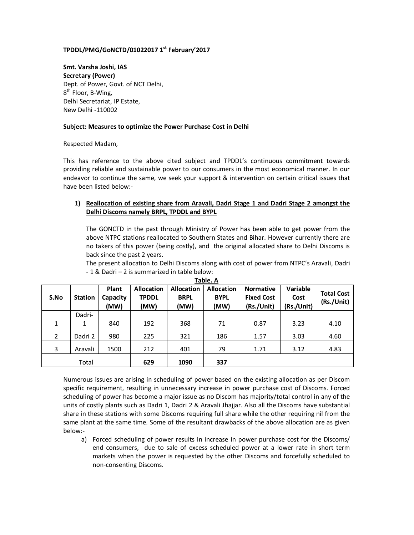## **TPDDL/PMG/GoNCTD/01022017 1st February'2017**

**Smt. Varsha Joshi, IAS Secretary (Power)** Dept. of Power, Govt. of NCT Delhi, 8<sup>th</sup> Floor, B-Wing, Delhi Secretariat, IP Estate, New Delhi -110002

#### **Subject: Measures to optimize the Power Purchase Cost in Delhi**

Respected Madam,

This has reference to the above cited subject and TPDDL's continuous commitment towards providing reliable and sustainable power to our consumers in the most economical manner. In our endeavor to continue the same, we seek your support & intervention on certain critical issues that have been listed below:-

## **1) Reallocation of existing share from Aravali, Dadri Stage 1 and Dadri Stage 2 amongst the Delhi Discoms namely BRPL, TPDDL and BYPL**

The GONCTD in the past through Ministry of Power has been able to get power from the above NTPC stations reallocated to Southern States and Bihar. However currently there are no takers of this power (being costly), and the original allocated share to Delhi Discoms is back since the past 2 years.

The present allocation to Delhi Discoms along with cost of power from NTPC's Aravali, Dadri - 1 & Dadri – 2 is summarized in table below:

| S.No           | <b>Station</b> | Plant<br>Capacity<br>(MW) | <b>Allocation</b><br><b>TPDDL</b><br>(MW) | <b>Allocation</b><br><b>BRPL</b><br>(MW) | <b>Allocation</b><br><b>BYPL</b><br>(MW) | <b>Normative</b><br><b>Fixed Cost</b><br>(Rs./Unit) | <b>Variable</b><br>Cost<br>(Rs./Unit) | <b>Total Cost</b><br>(Rs./Unit) |
|----------------|----------------|---------------------------|-------------------------------------------|------------------------------------------|------------------------------------------|-----------------------------------------------------|---------------------------------------|---------------------------------|
|                | Dadri-         |                           |                                           |                                          |                                          |                                                     |                                       |                                 |
| 1              | 1              | 840                       | 192                                       | 368                                      | 71                                       | 0.87                                                | 3.23                                  | 4.10                            |
| $\overline{2}$ | Dadri 2        | 980                       | 225                                       | 321                                      | 186                                      | 1.57                                                | 3.03                                  | 4.60                            |
| 3              | Aravali        | 1500                      | 212                                       | 401                                      | 79                                       | 1.71                                                | 3.12                                  | 4.83                            |
|                | Total          |                           | 629                                       | 1090                                     | 337                                      |                                                     |                                       |                                 |

**Table. A**

Numerous issues are arising in scheduling of power based on the existing allocation as per Discom specific requirement, resulting in unnecessary increase in power purchase cost of Discoms. Forced scheduling of power has become a major issue as no Discom has majority/total control in any of the units of costly plants such as Dadri 1, Dadri 2 & Aravali Jhajjar. Also all the Discoms have substantial share in these stations with some Discoms requiring full share while the other requiring nil from the same plant at the same time. Some of the resultant drawbacks of the above allocation are as given below:-

a) Forced scheduling of power results in increase in power purchase cost for the Discoms/ end consumers, due to sale of excess scheduled power at a lower rate in short term markets when the power is requested by the other Discoms and forcefully scheduled to non-consenting Discoms.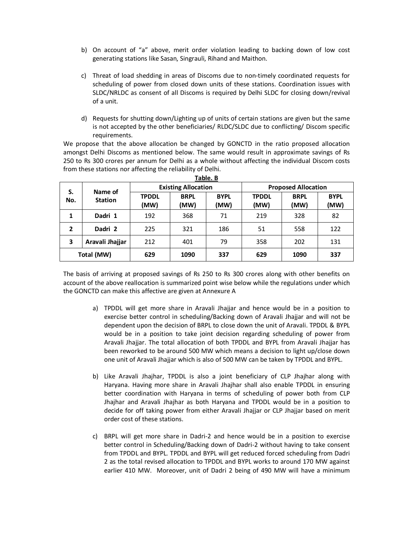- b) On account of "a" above, merit order violation leading to backing down of low cost generating stations like Sasan, Singrauli, Rihand and Maithon.
- c) Threat of load shedding in areas of Discoms due to non-timely coordinated requests for scheduling of power from closed down units of these stations. Coordination issues with SLDC/NRLDC as consent of all Discoms is required by Delhi SLDC for closing down/revival of a unit.
- d) Requests for shutting down/Lighting up of units of certain stations are given but the same is not accepted by the other beneficiaries/ RLDC/SLDC due to conflicting/ Discom specific requirements.

We propose that the above allocation be changed by GONCTD in the ratio proposed allocation amongst Delhi Discoms as mentioned below. The same would result in approximate savings of Rs 250 to Rs 300 crores per annum for Delhi as a whole without affecting the individual Discom costs from these stations nor affecting the reliability of Delhi.

| Table. B       |                           |                            |                     |                     |                            |                     |                     |
|----------------|---------------------------|----------------------------|---------------------|---------------------|----------------------------|---------------------|---------------------|
| S.<br>No.      | Name of<br><b>Station</b> | <b>Existing Allocation</b> |                     |                     | <b>Proposed Allocation</b> |                     |                     |
|                |                           | <b>TPDDL</b><br>(MW)       | <b>BRPL</b><br>(MW) | <b>BYPL</b><br>(MW) | <b>TPDDL</b><br>(MW)       | <b>BRPL</b><br>(MW) | <b>BYPL</b><br>(MW) |
| 1              | Dadri 1                   | 192                        | 368                 | 71                  | 219                        | 328                 | 82                  |
| $\overline{2}$ | Dadri 2                   | 225                        | 321                 | 186                 | 51                         | 558                 | 122                 |
| 3              | Aravali Jhajjar           | 212                        | 401                 | 79                  | 358                        | 202                 | 131                 |
| Total (MW)     |                           | 629                        | 1090                | 337                 | 629                        | 1090                | 337                 |

The basis of arriving at proposed savings of Rs 250 to Rs 300 crores along with other benefits on account of the above reallocation is summarized point wise below while the regulations under which the GONCTD can make this affective are given at Annexure A

- a) TPDDL will get more share in Aravali Jhajjar and hence would be in a position to exercise better control in scheduling/Backing down of Aravali Jhajjar and will not be dependent upon the decision of BRPL to close down the unit of Aravali. TPDDL & BYPL would be in a position to take joint decision regarding scheduling of power from Aravali Jhajjar. The total allocation of both TPDDL and BYPL from Aravali Jhajjar has been reworked to be around 500 MW which means a decision to light up/close down one unit of Aravali Jhajjar which is also of 500 MW can be taken by TPDDL and BYPL.
- b) Like Aravali Jhajhar, TPDDL is also a joint beneficiary of CLP Jhajhar along with Haryana. Having more share in Aravali Jhajhar shall also enable TPDDL in ensuring better coordination with Haryana in terms of scheduling of power both from CLP Jhajhar and Aravali Jhajhar as both Haryana and TPDDL would be in a position to decide for off taking power from either Aravali Jhajjar or CLP Jhajjar based on merit order cost of these stations.
- c) BRPL will get more share in Dadri-2 and hence would be in a position to exercise better control in Scheduling/Backing down of Dadri-2 without having to take consent from TPDDL and BYPL. TPDDL and BYPL will get reduced forced scheduling from Dadri 2 as the total revised allocation to TPDDL and BYPL works to around 170 MW against earlier 410 MW. Moreover, unit of Dadri 2 being of 490 MW will have a minimum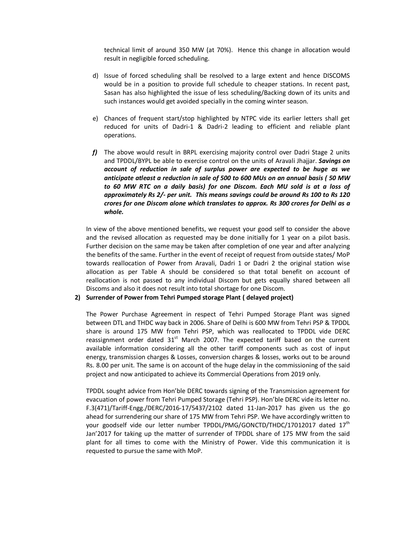technical limit of around 350 MW (at 70%). Hence this change in allocation would result in negligible forced scheduling.

- d) Issue of forced scheduling shall be resolved to a large extent and hence DISCOMS would be in a position to provide full schedule to cheaper stations. In recent past, Sasan has also highlighted the issue of less scheduling/Backing down of its units and such instances would get avoided specially in the coming winter season.
- e) Chances of frequent start/stop highlighted by NTPC vide its earlier letters shall get reduced for units of Dadri-1 & Dadri-2 leading to efficient and reliable plant operations.
- *f)* The above would result in BRPL exercising majority control over Dadri Stage 2 units and TPDDL/BYPL be able to exercise control on the units of Aravali Jhajjar. *Savings on account of reduction in sale of surplus power are expected to be huge as we anticipate atleast a reduction in sale of 500 to 600 MUs on an annual basis ( 50 MW to 60 MW RTC on a daily basis) for one Discom. Each MU sold is at a loss of approximately Rs 2/- per unit. This means savings could be around Rs 100 to Rs 120 crores for one Discom alone which translates to approx. Rs 300 crores for Delhi as a whole.*

In view of the above mentioned benefits, we request your good self to consider the above and the revised allocation as requested may be done initially for 1 year on a pilot basis. Further decision on the same may be taken after completion of one year and after analyzing the benefits of the same. Further in the event of receipt of request from outside states/ MoP towards reallocation of Power from Aravali, Dadri 1 or Dadri 2 the original station wise allocation as per Table A should be considered so that total benefit on account of reallocation is not passed to any individual Discom but gets equally shared between all Discoms and also it does not result into total shortage for one Discom.

#### **2) Surrender of Power from Tehri Pumped storage Plant ( delayed project)**

The Power Purchase Agreement in respect of Tehri Pumped Storage Plant was signed between DTL and THDC way back in 2006. Share of Delhi is 600 MW from Tehri PSP & TPDDL share is around 175 MW from Tehri PSP, which was reallocated to TPDDL vide DERC reassignment order dated  $31<sup>st</sup>$  March 2007. The expected tariff based on the current available information considering all the other tariff components such as cost of input energy, transmission charges & Losses, conversion charges & losses, works out to be around Rs. 8.00 per unit. The same is on account of the huge delay in the commissioning of the said project and now anticipated to achieve its Commercial Operations from 2019 only.

TPDDL sought advice from Hon'ble DERC towards signing of the Transmission agreement for evacuation of power from Tehri Pumped Storage (Tehri PSP). Hon'ble DERC vide its letter no. F.3(471)/Tariff-Engg./DERC/2016-17/5437/2102 dated 11-Jan-2017 has given us the go ahead for surrendering our share of 175 MW from Tehri PSP. We have accordingly written to your goodself vide our letter number TPDDL/PMG/GONCTD/THDC/17012017 dated 17<sup>th</sup> Jan'2017 for taking up the matter of surrender of TPDDL share of 175 MW from the said plant for all times to come with the Ministry of Power. Vide this communication it is requested to pursue the same with MoP.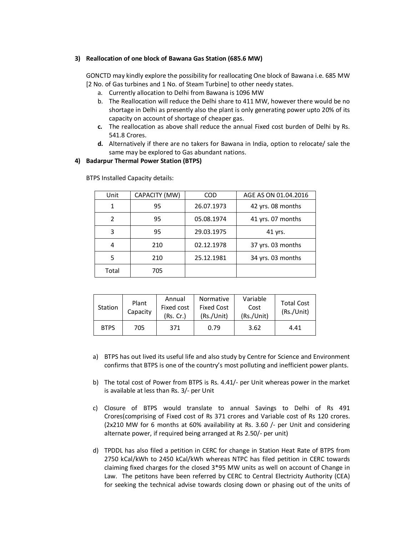#### **3) Reallocation of one block of Bawana Gas Station (685.6 MW)**

GONCTD may kindly explore the possibility for reallocating One block of Bawana i.e. 685 MW [2 No. of Gas turbines and 1 No. of Steam Turbine] to other needy states.

- a. Currently allocation to Delhi from Bawana is 1096 MW
- b. The Reallocation will reduce the Delhi share to 411 MW, however there would be no shortage in Delhi as presently also the plant is only generating power upto 20% of its capacity on account of shortage of cheaper gas.
- **c.** The reallocation as above shall reduce the annual Fixed cost burden of Delhi by Rs. 541.8 Crores.
- **d.** Alternatively if there are no takers for Bawana in India, option to relocate/ sale the same may be explored to Gas abundant nations.

#### **4) Badarpur Thermal Power Station (BTPS)**

| Unit  | CAPACITY (MW) | <b>COD</b> | AGE AS ON 01.04.2016 |
|-------|---------------|------------|----------------------|
| 1     | 95            | 26.07.1973 | 42 yrs. 08 months    |
| 2     | 95            | 05.08.1974 | 41 yrs. 07 months    |
| 3     | 95            | 29.03.1975 | 41 yrs.              |
|       | 210           | 02.12.1978 | 37 yrs. 03 months    |
| 5     | 210           | 25.12.1981 | 34 yrs. 03 months    |
| Total | 705           |            |                      |

BTPS Installed Capacity details:

| Station     | Plant<br>Capacity | Annual<br>Fixed cost<br>(Rs, Cr.) | Normative<br><b>Fixed Cost</b><br>(Rs./Unit) | Variable<br>Cost<br>(Rs./Unit) | <b>Total Cost</b><br>(Rs./Unit) |
|-------------|-------------------|-----------------------------------|----------------------------------------------|--------------------------------|---------------------------------|
| <b>BTPS</b> | 705               | 371                               | 0.79                                         | 3.62                           | 4.41                            |

- a) BTPS has out lived its useful life and also study by Centre for Science and Environment confirms that BTPS is one of the country's most polluting and inefficient power plants.
- b) The total cost of Power from BTPS is Rs. 4.41/- per Unit whereas power in the market is available at less than Rs. 3/- per Unit
- c) Closure of BTPS would translate to annual Savings to Delhi of Rs 491 Crores(comprising of Fixed cost of Rs 371 crores and Variable cost of Rs 120 crores. (2x210 MW for 6 months at 60% availability at Rs. 3.60 /- per Unit and considering alternate power, if required being arranged at Rs 2.50/- per unit)
- d) TPDDL has also filed a petition in CERC for change in Station Heat Rate of BTPS from 2750 kCal/kWh to 2450 kCal/kWh whereas NTPC has filed petition in CERC towards claiming fixed charges for the closed 3\*95 MW units as well on account of Change in Law. The petitons have been referred by CERC to Central Electricity Authority (CEA) for seeking the technical advise towards closing down or phasing out of the units of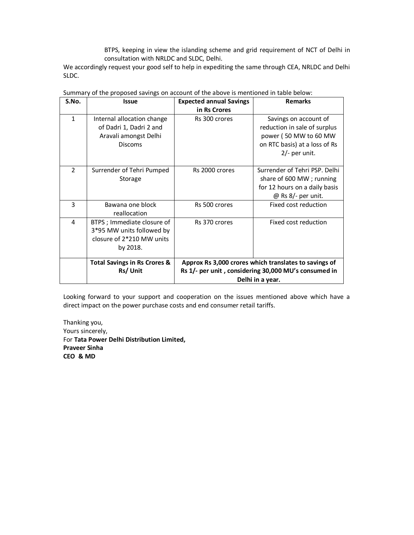BTPS, keeping in view the islanding scheme and grid requirement of NCT of Delhi in consultation with NRLDC and SLDC, Delhi.

We accordingly request your good self to help in expediting the same through CEA, NRLDC and Delhi SLDC.

| S.No.          | <b>Issue</b>                                                                                      | <b>Expected annual Savings</b><br>in Rs Crores                                                                | <b>Remarks</b>                                                                                                                   |  |
|----------------|---------------------------------------------------------------------------------------------------|---------------------------------------------------------------------------------------------------------------|----------------------------------------------------------------------------------------------------------------------------------|--|
| $\mathbf{1}$   | Internal allocation change<br>of Dadri 1, Dadri 2 and<br>Aravali amongst Delhi<br><b>Discoms</b>  | Rs 300 crores                                                                                                 | Savings on account of<br>reduction in sale of surplus<br>power (50 MW to 60 MW<br>on RTC basis) at a loss of Rs<br>2/- per unit. |  |
| $\overline{2}$ | Surrender of Tehri Pumped<br>Storage                                                              | Rs 2000 crores                                                                                                | Surrender of Tehri PSP. Delhi<br>share of 600 MW; running<br>for 12 hours on a daily basis<br>$@$ Rs 8/- per unit.               |  |
| 3              | Bawana one block<br>reallocation                                                                  | Rs 500 crores                                                                                                 | Fixed cost reduction                                                                                                             |  |
| 4              | BTPS ; Immediate closure of<br>3*95 MW units followed by<br>closure of 2*210 MW units<br>by 2018. | Rs 370 crores                                                                                                 | Fixed cost reduction                                                                                                             |  |
|                | <b>Total Savings in Rs Crores &amp;</b><br>Rs/Unit                                                | Approx Rs 3,000 crores which translates to savings of<br>Rs 1/- per unit, considering 30,000 MU's consumed in |                                                                                                                                  |  |
|                |                                                                                                   | Delhi in a year.                                                                                              |                                                                                                                                  |  |

Summary of the proposed savings on account of the above is mentioned in table below:

Looking forward to your support and cooperation on the issues mentioned above which have a direct impact on the power purchase costs and end consumer retail tariffs.

Thanking you, Yours sincerely, For **Tata Power Delhi Distribution Limited, Praveer Sinha CEO & MD**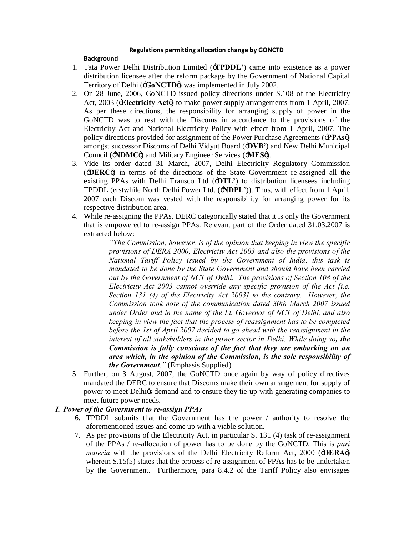#### **Regulations permitting allocation change by GONCTD**

## **Background**

- 1. Tata Power Delhi Distribution Limited ('**TPDDL'**) came into existence as a power distribution licensee after the reform package by the Government of National Capital Territory of Delhi (**GoNCTD**<sup> $\emptyset$ </sup>) was implemented in July 2002.
- 2. On 28 June, 2006, GoNCTD issued policy directions under S.108 of the Electricity Act, 2003 (**Electricity Act** $\phi$ ) to make power supply arrangements from 1 April, 2007. As per these directions, the responsibility for arranging supply of power in the GoNCTD was to rest with the Discoms in accordance to the provisions of the Electricity Act and National Electricity Policy with effect from 1 April, 2007. The policy directions provided for assignment of the Power Purchase Agreements ('**PPAs**') amongst successor Discoms of Delhi Vidyut Board ('**DVB'**) and New Delhi Municipal Council ( $\div NDMC\phi$ ) and Military Engineer Services ( $\div MES\phi$ ).
- 3. Vide its order dated 31 March, 2007, Delhi Electricity Regulatory Commission ('**DERC**') in terms of the directions of the State Government re-assigned all the existing PPAs with Delhi Transco Ltd ('**DTL'**) to distribution licensees including TPDDL (erstwhile North Delhi Power Ltd. ('**NDPL'**)). Thus, with effect from 1 April, 2007 each Discom was vested with the responsibility for arranging power for its respective distribution area.
- 4. While re-assigning the PPAs, DERC categorically stated that it is only the Government that is empowered to re-assign PPAs. Relevant part of the Order dated 31.03.2007 is extracted below:

*"The Commission, however, is of the opinion that keeping in view the specific provisions of DERA 2000, Electricity Act 2003 and also the provisions of the National Tariff Policy issued by the Government of India, this task is mandated to be done by the State Government and should have been carried out by the Government of NCT of Delhi. The provisions of Section 108 of the Electricity Act 2003 cannot override any specific provision of the Act [i.e. Section 131 (4) of the Electricity Act 2003] to the contrary. However, the Commission took note of the communication dated 30th March 2007 issued under Order and in the name of the Lt. Governor of NCT of Delhi, and also keeping in view the fact that the process of reassignment has to be completed*  before the 1st of April 2007 decided to go ahead with the reassignment in the *interest of all stakeholders in the power sector in Delhi. While doing so, the Commission is fully conscious of the fact that they are embarking on an area which, in the opinion of the Commission, is the sole responsibility of the Government."* (Emphasis Supplied)

5. Further, on 3 August, 2007, the GoNCTD once again by way of policy directives mandated the DERC to ensure that Discoms make their own arrangement for supply of power to meet Delhigs demand and to ensure they tie-up with generating companies to meet future power needs.

# *I. Power of the Government to re-assign PPAs*

- 6. TPDDL submits that the Government has the power / authority to resolve the aforementioned issues and come up with a viable solution.
- 7. As per provisions of the Electricity Act, in particular S. 131 (4) task of re-assignment of the PPAs / re-allocation of power has to be done by the GoNCTD. This is *pari materia* with the provisions of the Delhi Electricity Reform Act, 2000 ( $\div$ **DERA** $\phi$ ) wherein S.15(5) states that the process of re-assignment of PPAs has to be undertaken by the Government. Furthermore, para 8.4.2 of the Tariff Policy also envisages